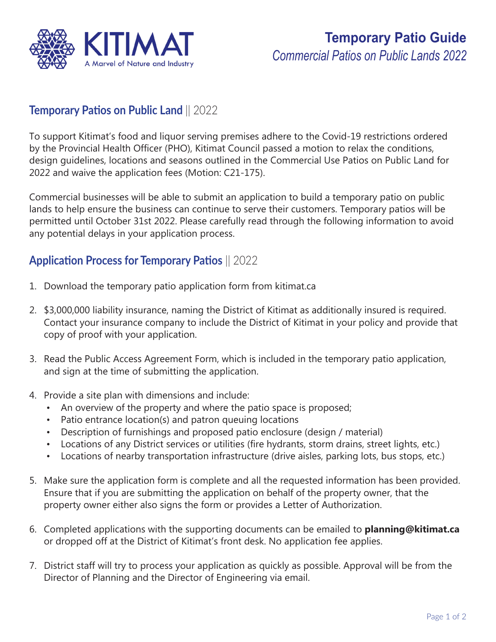

## **Temporary Patios on Public Land** || 2022

To support Kitimat's food and liquor serving premises adhere to the Covid-19 restrictions ordered by the Provincial Health Officer (PHO), Kitimat Council passed a motion to relax the conditions, design guidelines, locations and seasons outlined in the Commercial Use Patios on Public Land for 2022 and waive the application fees (Motion: C21-175).

Commercial businesses will be able to submit an application to build a temporary patio on public lands to help ensure the business can continue to serve their customers. Temporary patios will be permitted until October 31st 2022. Please carefully read through the following information to avoid any potential delays in your application process.

#### **Application Process for Temporary Patios** || 2022

- 1. Download the temporary patio application form from kitimat.ca
- 2. \$3,000,000 liability insurance, naming the District of Kitimat as additionally insured is required. Contact your insurance company to include the District of Kitimat in your policy and provide that copy of proof with your application.
- 3. Read the Public Access Agreement Form, which is included in the temporary patio application, and sign at the time of submitting the application.
- 4. Provide a site plan with dimensions and include:
	- An overview of the property and where the patio space is proposed;
	- Patio entrance location(s) and patron queuing locations
	- Description of furnishings and proposed patio enclosure (design / material)
	- Locations of any District services or utilities (fire hydrants, storm drains, street lights, etc.)
	- Locations of nearby transportation infrastructure (drive aisles, parking lots, bus stops, etc.)
- 5. Make sure the application form is complete and all the requested information has been provided. Ensure that if you are submitting the application on behalf of the property owner, that the property owner either also signs the form or provides a Letter of Authorization.
- 6. Completed applications with the supporting documents can be emailed to **planning@kitimat.ca** or dropped off at the District of Kitimat's front desk. No application fee applies.
- 7. District staff will try to process your application as quickly as possible. Approval will be from the Director of Planning and the Director of Engineering via email.